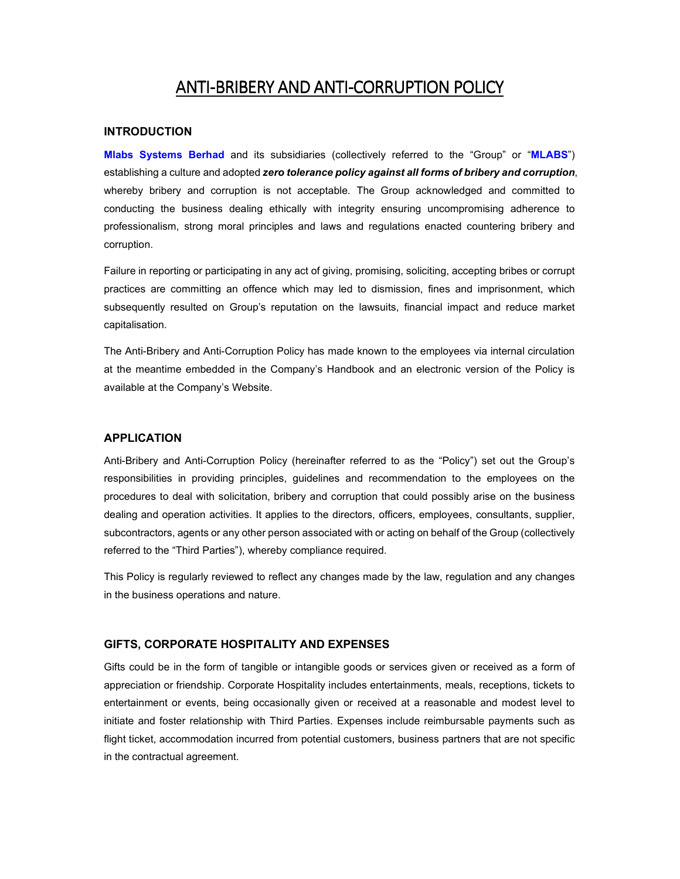# ANTI-BRIBERY AND ANTI-CORRUPTION POLICY

# **INTRODUCTION**

**Mlabs Systems Berhad** and its subsidiaries (collectively referred to the "Group" or "**MLABS**") establishing a culture and adopted *zero tolerance policy against all forms of bribery and corruption*, whereby bribery and corruption is not acceptable*.* The Group acknowledged and committed to conducting the business dealing ethically with integrity ensuring uncompromising adherence to professionalism, strong moral principles and laws and regulations enacted countering bribery and corruption.

Failure in reporting or participating in any act of giving, promising, soliciting, accepting bribes or corrupt practices are committing an offence which may led to dismission, fines and imprisonment, which subsequently resulted on Group's reputation on the lawsuits, financial impact and reduce market capitalisation.

The Anti-Bribery and Anti-Corruption Policy has made known to the employees via internal circulation at the meantime embedded in the Company's Handbook and an electronic version of the Policy is available at the Company's Website.

#### **APPLICATION**

Anti-Bribery and Anti-Corruption Policy (hereinafter referred to as the "Policy") set out the Group's responsibilities in providing principles, guidelines and recommendation to the employees on the procedures to deal with solicitation, bribery and corruption that could possibly arise on the business dealing and operation activities. It applies to the directors, officers, employees, consultants, supplier, subcontractors, agents or any other person associated with or acting on behalf of the Group (collectively referred to the "Third Parties"), whereby compliance required.

This Policy is regularly reviewed to reflect any changes made by the law, regulation and any changes in the business operations and nature.

### **GIFTS, CORPORATE HOSPITALITY AND EXPENSES**

Gifts could be in the form of tangible or intangible goods or services given or received as a form of appreciation or friendship. Corporate Hospitality includes entertainments, meals, receptions, tickets to entertainment or events, being occasionally given or received at a reasonable and modest level to initiate and foster relationship with Third Parties. Expenses include reimbursable payments such as flight ticket, accommodation incurred from potential customers, business partners that are not specific in the contractual agreement.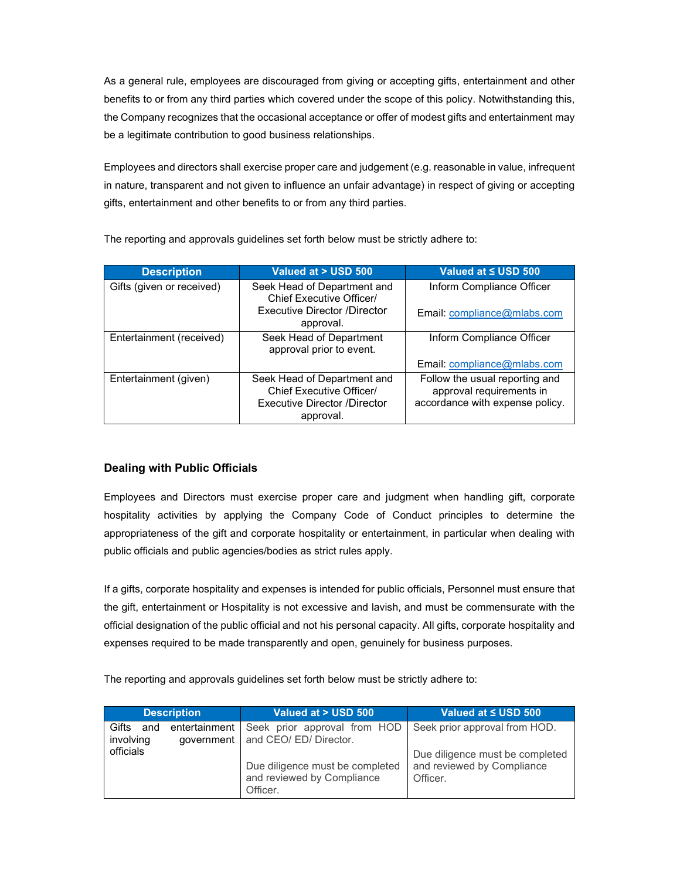As a general rule, employees are discouraged from giving or accepting gifts, entertainment and other benefits to or from any third parties which covered under the scope of this policy. Notwithstanding this, the Company recognizes that the occasional acceptance or offer of modest gifts and entertainment may be a legitimate contribution to good business relationships.

Employees and directors shall exercise proper care and judgement (e.g. reasonable in value, infrequent in nature, transparent and not given to influence an unfair advantage) in respect of giving or accepting gifts, entertainment and other benefits to or from any third parties.

| <b>Description</b>        | Valued at > USD 500                                                                                         | Valued at ≤ USD 500                                                                           |
|---------------------------|-------------------------------------------------------------------------------------------------------------|-----------------------------------------------------------------------------------------------|
| Gifts (given or received) | Seek Head of Department and<br>Chief Executive Officer/                                                     | Inform Compliance Officer                                                                     |
|                           | Executive Director /Director<br>approval.                                                                   | Email: compliance@mlabs.com                                                                   |
| Entertainment (received)  | Seek Head of Department<br>approval prior to event.                                                         | Inform Compliance Officer                                                                     |
|                           |                                                                                                             | Email: compliance@mlabs.com                                                                   |
| Entertainment (given)     | Seek Head of Department and<br>Chief Executive Officer/<br><b>Executive Director /Director</b><br>approval. | Follow the usual reporting and<br>approval requirements in<br>accordance with expense policy. |

The reporting and approvals guidelines set forth below must be strictly adhere to:

# **Dealing with Public Officials**

Employees and Directors must exercise proper care and judgment when handling gift, corporate hospitality activities by applying the Company Code of Conduct principles to determine the appropriateness of the gift and corporate hospitality or entertainment, in particular when dealing with public officials and public agencies/bodies as strict rules apply.

If a gifts, corporate hospitality and expenses is intended for public officials, Personnel must ensure that the gift, entertainment or Hospitality is not excessive and lavish, and must be commensurate with the official designation of the public official and not his personal capacity. All gifts, corporate hospitality and expenses required to be made transparently and open, genuinely for business purposes.

The reporting and approvals guidelines set forth below must be strictly adhere to:

|                           | <b>Description</b>          | Valued at > USD 500                                                       | Valued at $\leq$ USD 500 $^{\circ}$                                       |
|---------------------------|-----------------------------|---------------------------------------------------------------------------|---------------------------------------------------------------------------|
| Gifts<br>and<br>involving | entertainment<br>government | Seek prior approval from HOD<br>and CEO/ ED/ Director.                    | Seek prior approval from HOD.                                             |
| officials                 |                             | Due diligence must be completed<br>and reviewed by Compliance<br>Officer. | Due diligence must be completed<br>and reviewed by Compliance<br>Officer. |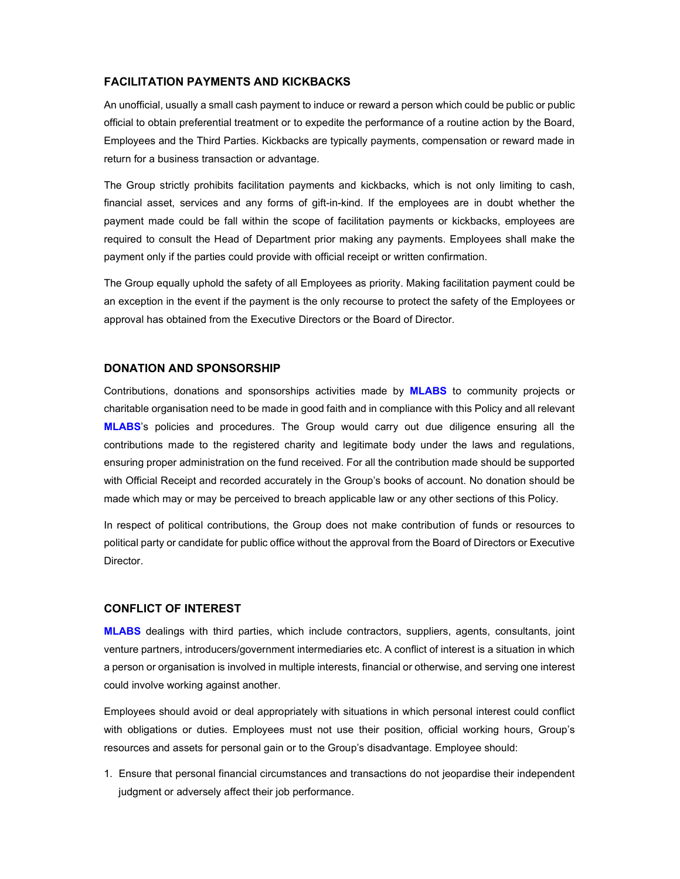# **FACILITATION PAYMENTS AND KICKBACKS**

An unofficial, usually a small cash payment to induce or reward a person which could be public or public official to obtain preferential treatment or to expedite the performance of a routine action by the Board, Employees and the Third Parties. Kickbacks are typically payments, compensation or reward made in return for a business transaction or advantage.

The Group strictly prohibits facilitation payments and kickbacks, which is not only limiting to cash, financial asset, services and any forms of gift-in-kind. If the employees are in doubt whether the payment made could be fall within the scope of facilitation payments or kickbacks, employees are required to consult the Head of Department prior making any payments. Employees shall make the payment only if the parties could provide with official receipt or written confirmation.

The Group equally uphold the safety of all Employees as priority. Making facilitation payment could be an exception in the event if the payment is the only recourse to protect the safety of the Employees or approval has obtained from the Executive Directors or the Board of Director.

# **DONATION AND SPONSORSHIP**

Contributions, donations and sponsorships activities made by **MLABS** to community projects or charitable organisation need to be made in good faith and in compliance with this Policy and all relevant **MLABS**'s policies and procedures. The Group would carry out due diligence ensuring all the contributions made to the registered charity and legitimate body under the laws and regulations, ensuring proper administration on the fund received. For all the contribution made should be supported with Official Receipt and recorded accurately in the Group's books of account. No donation should be made which may or may be perceived to breach applicable law or any other sections of this Policy.

In respect of political contributions, the Group does not make contribution of funds or resources to political party or candidate for public office without the approval from the Board of Directors or Executive Director.

#### **CONFLICT OF INTEREST**

**MLABS** dealings with third parties, which include contractors, suppliers, agents, consultants, joint venture partners, introducers/government intermediaries etc. A conflict of interest is a situation in which a person or organisation is involved in multiple interests, financial or otherwise, and serving one interest could involve working against another.

Employees should avoid or deal appropriately with situations in which personal interest could conflict with obligations or duties. Employees must not use their position, official working hours, Group's resources and assets for personal gain or to the Group's disadvantage. Employee should:

1. Ensure that personal financial circumstances and transactions do not jeopardise their independent judgment or adversely affect their job performance.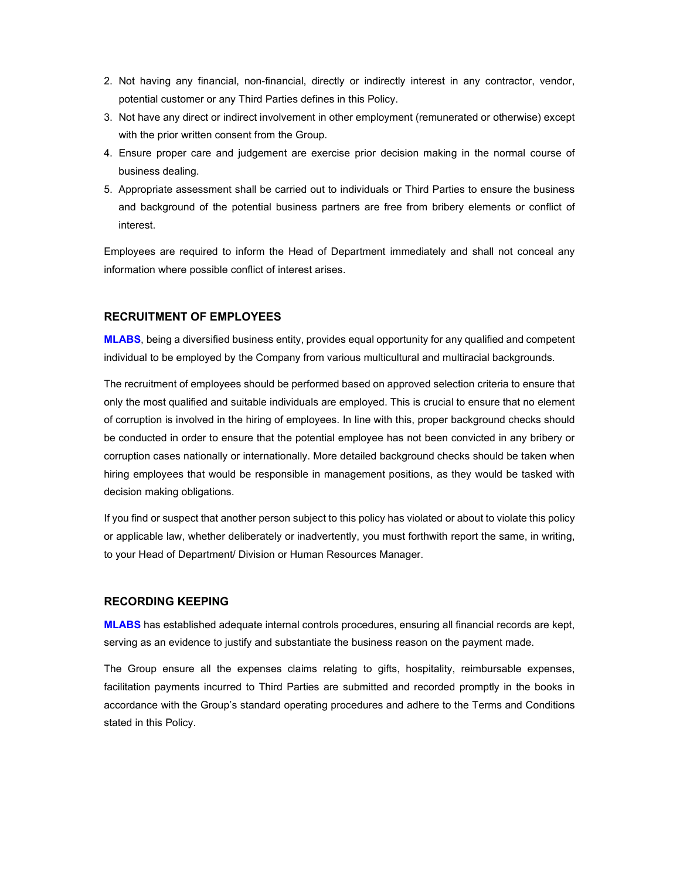- 2. Not having any financial, non-financial, directly or indirectly interest in any contractor, vendor, potential customer or any Third Parties defines in this Policy.
- 3. Not have any direct or indirect involvement in other employment (remunerated or otherwise) except with the prior written consent from the Group.
- 4. Ensure proper care and judgement are exercise prior decision making in the normal course of business dealing.
- 5. Appropriate assessment shall be carried out to individuals or Third Parties to ensure the business and background of the potential business partners are free from bribery elements or conflict of interest.

Employees are required to inform the Head of Department immediately and shall not conceal any information where possible conflict of interest arises.

# **RECRUITMENT OF EMPLOYEES**

**MLABS**, being a diversified business entity, provides equal opportunity for any qualified and competent individual to be employed by the Company from various multicultural and multiracial backgrounds.

The recruitment of employees should be performed based on approved selection criteria to ensure that only the most qualified and suitable individuals are employed. This is crucial to ensure that no element of corruption is involved in the hiring of employees. In line with this, proper background checks should be conducted in order to ensure that the potential employee has not been convicted in any bribery or corruption cases nationally or internationally. More detailed background checks should be taken when hiring employees that would be responsible in management positions, as they would be tasked with decision making obligations.

If you find or suspect that another person subject to this policy has violated or about to violate this policy or applicable law, whether deliberately or inadvertently, you must forthwith report the same, in writing, to your Head of Department/ Division or Human Resources Manager.

# **RECORDING KEEPING**

**MLABS** has established adequate internal controls procedures, ensuring all financial records are kept, serving as an evidence to justify and substantiate the business reason on the payment made.

The Group ensure all the expenses claims relating to gifts, hospitality, reimbursable expenses, facilitation payments incurred to Third Parties are submitted and recorded promptly in the books in accordance with the Group's standard operating procedures and adhere to the Terms and Conditions stated in this Policy.